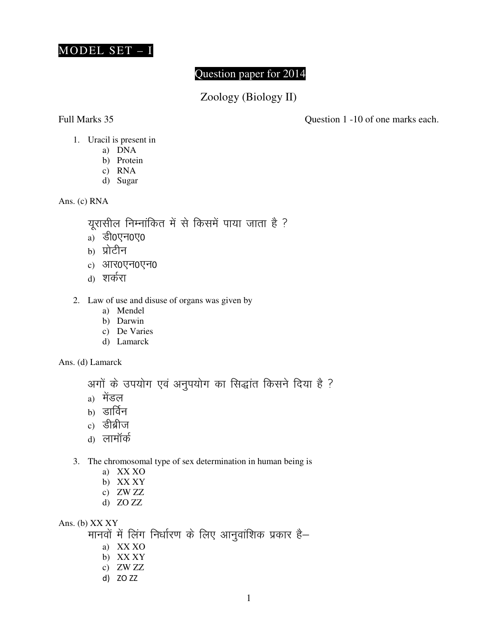

## Question paper for 2014

Zoology (Biology II)

Full Marks 35 Question 1 -10 of one marks each.

- 1. Uracil is present in
	- a) DNA
	- b) Protein
	- c) RNA
	- d) Sugar

Ans. (c) RNA

यूरासील निम्नांकित में से किसमें पाया जाता है ?

- a)  $\delta$ 0 $\nabla$
- $b)$  प्रोटीन
- $c)$  आर0एन0एन0
- d) शर्करा
- 2. Law of use and disuse of organs was given by
	- a) Mendel
	- b) Darwin
	- c) De Varies
	- d) Lamarck

Ans. (d) Lamarck

अगों के उपयोग एवं अनुपयोग का सिद्धांत किसने दिया है ?

- $a)$  मेंडल
- $b)$  डार्विन
- $c)$  डीब्रीज
- d) लामॉर्क
- 3. The chromosomal type of sex determination in human being is
	- a) XX XO
	- b) XX XY
	- c) ZW ZZ
	- d) ZO ZZ

Ans. (b) XX XY

मानवों में लिंग निर्धारण के लिए आनुवांशिक प्रकार है–

- a) XX XO
- b) XX XY
- c) ZW ZZ
- d) ZO ZZ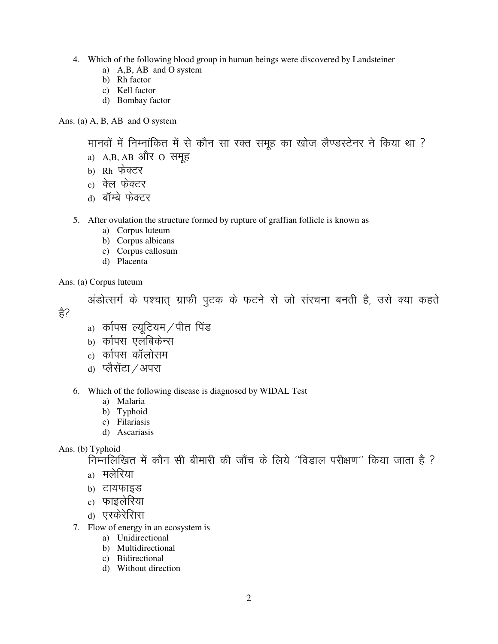- 4. Which of the following blood group in human beings were discovered by Landsteiner
	- a) A,B, AB and O system
	- b) Rh factor
	- c) Kell factor
	- d) Bombay factor

Ans. (a) A, B, AB and O system

मानवों में निम्नांकित में से कौन सा रक्त समुह का खोज लैण्डस्टेनर ने किया था ?

- a)  $A,B,$   $AB$  और  $O$  समूह
- b) Rh फेक्टर
- c) क्ले फेक्टर
- d) बॉम्बे फेक्टर
- 5. After ovulation the structure formed by rupture of graffian follicle is known as
	- a) Corpus luteum
	- b) Corpus albicans
	- c) Corpus callosum
	- d) Placenta

Ans. (a) Corpus luteum

अंडोत्सर्ग के पश्चात ग्राफी पुटक के फटने से जो संरचना बनती है, उसे क्या कहते हे?

- a) कारपस ल्युटियम / पीत पिंड
- $h$ ) कपिस एलंबिकेन्स
- c) कपिस कॉलोसम
- d) प्लैसेंटा / अपरा

6. Which of the following disease is diagnosed by WIDAL Test

- a) Malaria
- b) Typhoid
- c) Filariasis
- d) Ascariasis

Ans. (b) Typhoid

 $\tilde{h}$ मिम्नलिखित में कौन सी बीमारी की जाँच के लिये ''विडाल परीक्षण'' किया जाता है ?

- <sub>a)</sub> मलेरिया
- b) टायफाइड
- $c)$  फाइलेरिया
- <sub>d)</sub> एस्केरेसिस
- 7. Flow of energy in an ecosystem is
	- a) Unidirectional
	- b) Multidirectional
	- c) Bidirectional
	- d) Without direction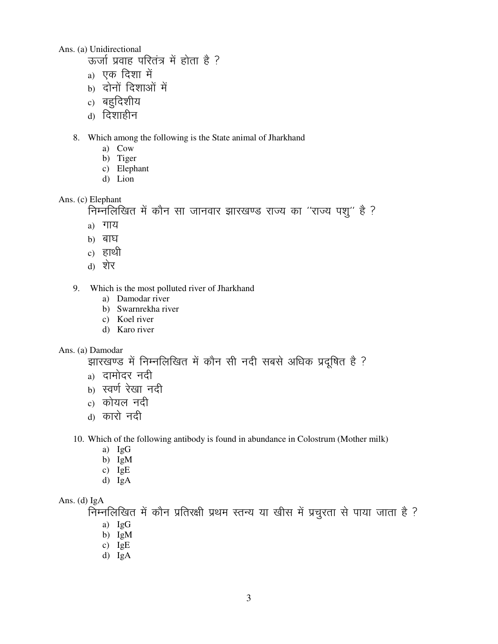Ans. (a) Unidirectional

- $\overline{a}$  ऊर्जा प्रवाह परितंत्र में होता है ?
- a) एक दिशा में
- $b)$  दोनों दिशाओं में
- $_{\rm c)}$  बहुदिशीय
- <sub>d)</sub> दिशाहीन
- 8. Which among the following is the State animal of Jharkhand
	- a) Cow
	- b) Tiger
	- c) Elephant
	- d) Lion

#### Ans. (c) Elephant

```
निम्नलिखित में कौन सा जानवार झारखण्ड राज्य का "राज्य पशु" है ?
```
- $a)$  गाय
- $h)$  बाघ
- c) हाथी
- 
- d) शेर
- 9. Which is the most polluted river of Jharkhand
	- a) Damodar river
	- b) Swarnrekha river
	- c) Koel river
	- d) Karo river

#### Ans. (a) Damodar

# झारखण्ड में निम्नलिखित में कौन सी नदी सबसे अधिक प्रदूषित है ?

- a) दामोदर नदी
- b) स्वर्ण रेखा नदी
- $c)$  कोयल नदी
- d) कारो नदी

### 10. Which of the following antibody is found in abundance in Colostrum (Mother milk)

- a) IgG
- b) IgM
- c) IgE
- d) IgA

### Ans. (d) IgA

 $\widetilde{R}$ म्नलिखित में कौन प्रतिरक्षी प्रथम स्तन्य या खीस में प्रचुरता से पाया जाता है ?

- a) IgG
- b) IgM
- c) IgE
- d) IgA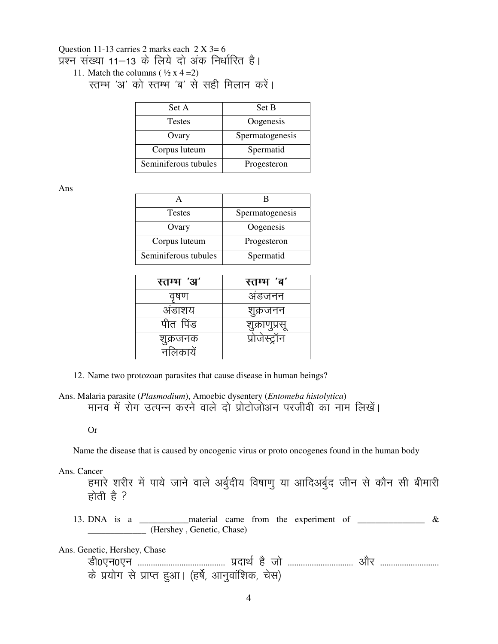### Question 11-13 carries 2 marks each  $2 X 3=6$ प्रश्न संख्या 11–13 के लिये दो अंक निर्धारित है। 11. Match the columns  $(\frac{1}{2} \times 4 = 2)$

रतम्भ 'अ' को स्तम्भ 'ब' से सही मिलान करें।

| Set A                | Set B           |  |  |
|----------------------|-----------------|--|--|
| <b>Testes</b>        | Oogenesis       |  |  |
| Ovary                | Spermatogenesis |  |  |
| Corpus luteum        | Spermatid       |  |  |
| Seminiferous tubules | Progesteron     |  |  |

Ans

| <b>Testes</b>        | Spermatogenesis |  |
|----------------------|-----------------|--|
| Ovary                | Oogenesis       |  |
| Corpus luteum        | Progesteron     |  |
| Seminiferous tubules | Spermatid       |  |

| स्तम्भ 'अ'           | स्तम्भ 'ब'   |  |  |
|----------------------|--------------|--|--|
| वृषण                 | अडजनन        |  |  |
| अडाशय                | शुक्रजनन     |  |  |
| पीत पिंड             |              |  |  |
| शुक्रजनक<br>नलिकायें | प्राजस्ट्रान |  |  |

12. Name two protozoan parasites that cause disease in human beings?

Ans. Malaria parasite (Plasmodium), Amoebic dysentery (Entomeba histolytica) मानव में रोग उत्पन्न करने वाले दो प्रोटोजोअन परजीवी का नाम लिखें।

**Or** 

Name the disease that is caused by oncogenic virus or proto oncogenes found in the human body

Ans. Cancer

हमारे शरीर में पाये जाने वाले अर्बुदीय विषाणु या आदिअर्बुद जीन से कौन सी बीमारी होती है ?

13. DNA is a \_\_\_\_\_\_\_\_\_\_\_ material came from the experiment of  $\_\_\_\_\_\_\_\_\_\_$  & (Hershey, Genetic, Chase)

Ans. Genetic, Hershey, Chase

के प्रयोग से प्राप्त हुआ। (हर्षे, आनुवांशिक, चेस)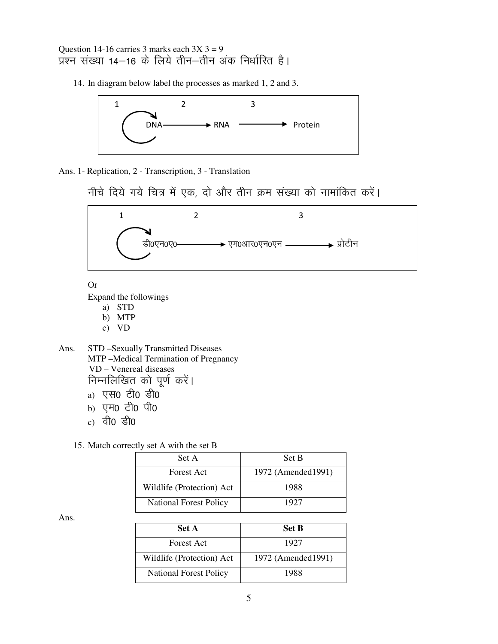Question 14-16 carries 3 marks each  $3X$  3 = 9 प्रश्न संख्या 14–16 के लिये तीन–तीन अंक निर्धारित है।

14. In diagram below label the processes as marked 1, 2 and 3.



Ans. 1- Replication, 2 - Transcription, 3 - Translation

नीचे दिये गये चित्र में एक, दो और तीन क्रम संख्या को नामांकित करें।



**Or** Expand the followings

- a) STD
- b) MTP
- $c)$  VD

Ans. STD -Sexually Transmitted Diseases MTP-Medical Termination of Pregnancy VD - Venereal diseases निम्नलिखित को पूर्ण करें। a) एस0 टी0 डी0

- b) एम0 टी0 पी0
- c) वी0 डी0
- 15. Match correctly set A with the set B

| Set A                         | Set B               |  |
|-------------------------------|---------------------|--|
| <b>Forest Act</b>             | 1972 (Amended 1991) |  |
| Wildlife (Protection) Act     | 1988                |  |
| <b>National Forest Policy</b> | 1927                |  |

Ans.

| Set A                         | <b>Set B</b>        |
|-------------------------------|---------------------|
| Forest Act                    | 1927                |
| Wildlife (Protection) Act     | 1972 (Amended 1991) |
| <b>National Forest Policy</b> | 1988                |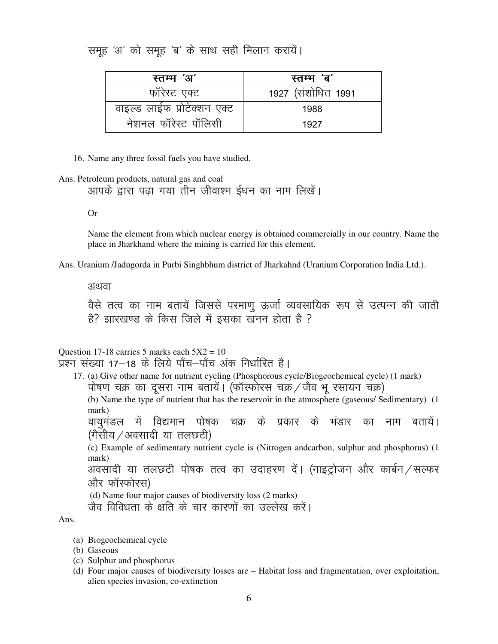## समूह 'अ' को समूह 'ब' के साथ सही मिलान करायें।

| स्तम्भ 'अ'                  | स्तम्भ 'ब'          |  |
|-----------------------------|---------------------|--|
| फॉरेस्ट एक्ट                | 1927 (संशोधित 1991) |  |
| वाइल्ड लाईफ प्रोटेक्शन एक्ट | 1988                |  |
| नेशनल फॉरेस्ट पॉलिसी        | 1927                |  |

16. Name any three fossil fuels you have studied.

Ans. Petroleum products, natural gas and coal

आपके द्वारा पढ़ा गया तीन जीवाश्म ईंधन का नाम लिखें।

**Or** 

Name the element from which nuclear energy is obtained commercially in our country. Name the place in Jharkhand where the mining is carried for this element.

Ans. Uranium /Jadugorda in Purbi Singhbhum district of Jharkahnd (Uranium Corporation India Ltd.).

अथवा

वैसे तत्व का नाम बतायें जिससे परमाणु ऊर्जा व्यवसायिक रूप से उत्पन्न की जाती है? झारखण्ड के किस जिले में इसका खनन होता है ?

Question 17-18 carries 5 marks each  $5X2 = 10$ प्रश्न संख्या 17–18 के लिये पाँच–पाँच अंक निर्धारित है।

17. (a) Give other name for nutrient cycling (Phosphorous cycle/Biogeochemical cycle) (1 mark) पोषण चक्र का दूसरा नाम बतायें। (फॉस्फोरस चक्रं / जैव भू रसायन चक्र)

(b) Name the type of nutrient that has the reservoir in the atmosphere (gaseous/ Sedimentary) (1)  $mark)$ 

वायमंडल में विद्यमान पोषक चक्र के प्रकार के भंडार का नाम बतायें। (गैसीय ⁄ अवसादी या तलछटी)

(c) Example of sedimentary nutrient cycle is (Nitrogen andcarbon, sulphur and phosphorus) (1 mark)

अवसादी या तलछटी पोषक तत्व का उदाहरण दें। (नाइट्रोजन और कार्बन / सल्फर और फॉस्फोरस)

(d) Name four major causes of biodiversity loss (2 marks)

जैव विविधता के क्षति के चार कारणों का उल्लेख करें।

Ans.

- (a) Biogeochemical cycle
- (b) Gaseous
- (c) Sulphur and phosphorus
- (d) Four major causes of biodiversity losses are Habitat loss and fragmentation, over exploitation, alien species invasion, co-extinction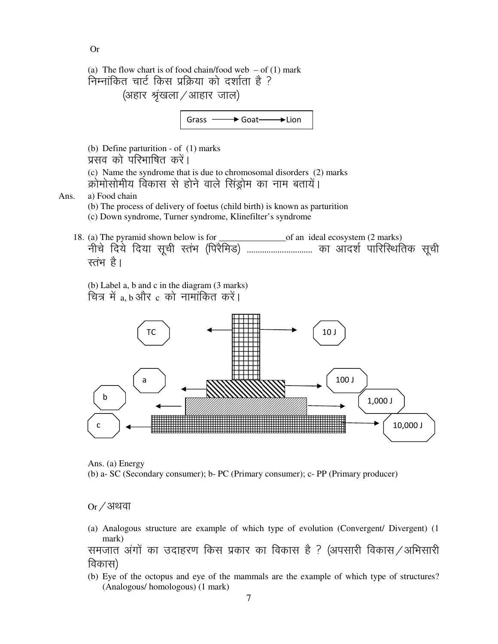Or

(a) The flow chart is of food chain/food web  $-$  of (1) mark निम्नांकित चार्ट किस प्रक्रिया को दर्शाता है ? (अहार श्रृंखला / आहार जाल)

Grass  $\longrightarrow$  Goat  $\longrightarrow$  Lion

(b) Define parturition - of (1) marks प्रसव को परिभाषित करें। (c) Name the syndrome that is due to chromosomal disorders (2) marks क्रोमोसोमीय विकास से होने वाले सिंडोम का नाम बतायें। Ans. a) Food chain

- (b) The process of delivery of foetus (child birth) is known as parturition (c) Down syndrome, Turner syndrome, Klinefilter's syndrome
- 18. (a) The pyramid shown below is for \_\_\_\_\_\_\_\_\_\_\_\_\_\_\_of an ideal ecosystem (2 marks) uhp s fn; s fn;k lwph LraHk ¼fijSfeM½ ------------------------------ dk vkn'k Z ikfjfLFkfrd lwph रतंभ है।

(b) Label a, b and c in the diagram (3 marks) चित्र में a b और  $c$  को नामांकित करें।



Ans. (a) Energy (b) a- SC (Secondary consumer); b- PC (Primary consumer); c- PP (Primary producer)

 $Or / 39$ या

(a) Analogous structure are example of which type of evolution (Convergent/ Divergent) (1 mark)

समजात अंगों का उदाहरण किस प्रकार का विकास है ? (अपसारी विकास / अभिसारी विकास)

(b) Eye of the octopus and eye of the mammals are the example of which type of structures? (Analogous/ homologous) (1 mark)